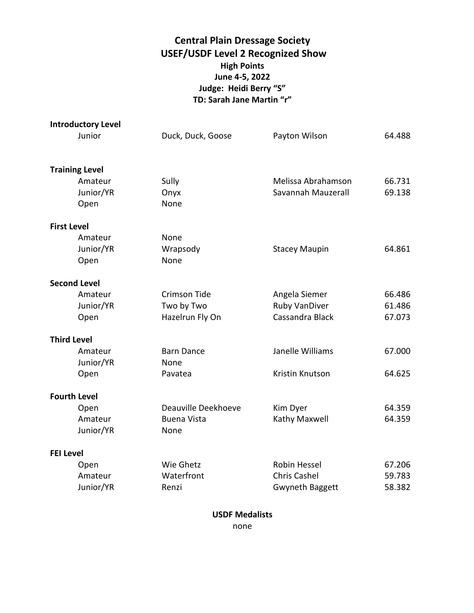## **Central Plain Dressage Society USEF/USDF Level 2 Recognized Show High Points June 4-5, 2022 Judge: Heidi Berry "S" TD: Sarah Jane Martin "r"**

|                    | <b>Introductory Level</b> |                     |                        |        |
|--------------------|---------------------------|---------------------|------------------------|--------|
|                    | Junior                    | Duck, Duck, Goose   | Payton Wilson          | 64.488 |
|                    |                           |                     |                        |        |
|                    | <b>Training Level</b>     |                     |                        |        |
|                    | Amateur                   | Sully               | Melissa Abrahamson     | 66.731 |
|                    | Junior/YR                 | Onyx                | Savannah Mauzerall     | 69.138 |
|                    | Open                      | None                |                        |        |
| <b>First Level</b> |                           |                     |                        |        |
|                    | Amateur                   | None                |                        |        |
|                    | Junior/YR                 | Wrapsody            | <b>Stacey Maupin</b>   | 64.861 |
|                    | Open                      | None                |                        |        |
|                    | <b>Second Level</b>       |                     |                        |        |
|                    | Amateur                   | Crimson Tide        | Angela Siemer          | 66.486 |
|                    | Junior/YR                 | Two by Two          | <b>Ruby VanDiver</b>   | 61.486 |
|                    | Open                      | Hazelrun Fly On     | Cassandra Black        | 67.073 |
|                    | <b>Third Level</b>        |                     |                        |        |
|                    | Amateur                   | <b>Barn Dance</b>   | Janelle Williams       | 67.000 |
|                    | Junior/YR                 | None                |                        |        |
|                    | Open                      | Pavatea             | Kristin Knutson        | 64.625 |
|                    | <b>Fourth Level</b>       |                     |                        |        |
|                    | Open                      | Deauville Deekhoeve | Kim Dyer               | 64.359 |
|                    | Amateur                   | <b>Buena Vista</b>  | Kathy Maxwell          | 64.359 |
|                    | Junior/YR                 | None                |                        |        |
| <b>FEI Level</b>   |                           |                     |                        |        |
|                    | Open                      | Wie Ghetz           | Robin Hessel           | 67.206 |
|                    | Amateur                   | Waterfront          | <b>Chris Cashel</b>    | 59.783 |
|                    | Junior/YR                 | Renzi               | <b>Gwyneth Baggett</b> | 58.382 |
|                    |                           |                     |                        |        |

**USDF Medalists**

none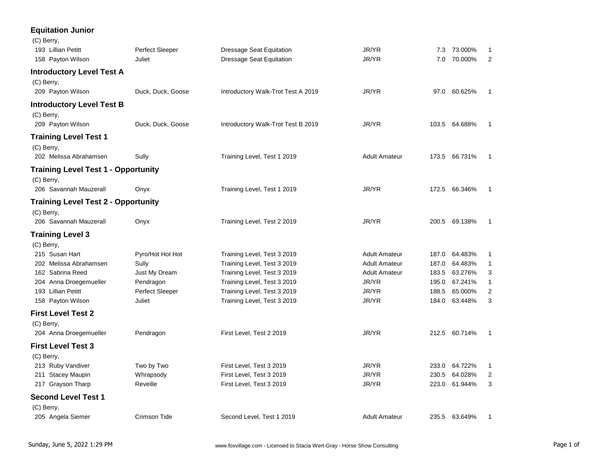## **Equitation Junior**

| (C) Berry,                                 |                        |                                    |                      |       |               |                |
|--------------------------------------------|------------------------|------------------------------------|----------------------|-------|---------------|----------------|
| 193 Lillian Petitt                         | Perfect Sleeper        | <b>Dressage Seat Equitation</b>    | JR/YR                | 7.3   | 73.000%       | 1              |
| 158 Payton Wilson                          | Juliet                 | <b>Dressage Seat Equitation</b>    | JR/YR                | 7.0   | 70.000%       | $\overline{2}$ |
| <b>Introductory Level Test A</b>           |                        |                                    |                      |       |               |                |
| (C) Berry,                                 |                        |                                    |                      |       |               |                |
| 209 Payton Wilson                          | Duck, Duck, Goose      | Introductory Walk-Trot Test A 2019 | JR/YR                |       | 97.0 60.625%  | $\mathbf{1}$   |
| <b>Introductory Level Test B</b>           |                        |                                    |                      |       |               |                |
| (C) Berry,                                 |                        |                                    |                      |       |               |                |
| 209 Payton Wilson                          | Duck, Duck, Goose      | Introductory Walk-Trot Test B 2019 | JR/YR                |       | 103.5 64.688% | 1              |
| <b>Training Level Test 1</b>               |                        |                                    |                      |       |               |                |
| (C) Berry,                                 |                        |                                    |                      |       |               |                |
| 202 Melissa Abrahamsen                     | Sully                  | Training Level, Test 1 2019        | <b>Adult Amateur</b> |       | 173.5 66.731% | 1              |
| <b>Training Level Test 1 - Opportunity</b> |                        |                                    |                      |       |               |                |
| (C) Berry,                                 |                        |                                    |                      |       |               |                |
| 206 Savannah Mauzerall                     | Onyx                   | Training Level, Test 1 2019        | JR/YR                |       | 172.5 66.346% | 1              |
| <b>Training Level Test 2 - Opportunity</b> |                        |                                    |                      |       |               |                |
| (C) Berry,                                 |                        |                                    |                      |       |               |                |
| 206 Savannah Mauzerall                     | Onyx                   | Training Level, Test 2 2019        | JR/YR                |       | 200.5 69.138% | 1              |
| <b>Training Level 3</b>                    |                        |                                    |                      |       |               |                |
| (C) Berry,                                 |                        |                                    |                      |       |               |                |
| 215 Susan Hart                             | Pyro/Hot Hot Hot       | Training Level, Test 3 2019        | <b>Adult Amateur</b> | 187.0 | 64.483%       | $\mathbf{1}$   |
| 202 Melissa Abrahamsen                     | Sully                  | Training Level, Test 3 2019        | <b>Adult Amateur</b> | 187.0 | 64.483%       | $\mathbf{1}$   |
| 162 Sabrina Reed                           | Just My Dream          | Training Level, Test 3 2019        | <b>Adult Amateur</b> | 183.5 | 63.276%       | 3              |
| 204 Anna Droegemueller                     | Pendragon              | Training Level, Test 3 2019        | JR/YR                | 195.0 | 67.241%       | 1              |
| 193 Lillian Petitt                         | <b>Perfect Sleeper</b> | Training Level, Test 3 2019        | JR/YR                | 188.5 | 65.000%       | $\overline{2}$ |
| 158 Payton Wilson                          | Juliet                 | Training Level, Test 3 2019        | JR/YR                |       | 184.0 63.448% | 3              |
| <b>First Level Test 2</b>                  |                        |                                    |                      |       |               |                |
| (C) Berry,                                 |                        |                                    |                      |       |               |                |
| 204 Anna Droegemueller                     | Pendragon              | First Level, Test 2 2019           | JR/YR                |       | 212.5 60.714% | $\mathbf{1}$   |
| <b>First Level Test 3</b>                  |                        |                                    |                      |       |               |                |
| (C) Berry,                                 |                        |                                    |                      |       |               |                |
| 213 Ruby Vandiver                          | Two by Two             | First Level, Test 3 2019           | JR/YR                |       | 233.0 64.722% | 1              |
| 211 Stacey Maupin                          | Whrapsody              | First Level, Test 3 2019           | JR/YR                | 230.5 | 64.028%       | 2              |
| 217 Grayson Tharp                          | Reveille               | First Level, Test 3 2019           | JR/YR                | 223.0 | 61.944%       | 3              |
| <b>Second Level Test 1</b>                 |                        |                                    |                      |       |               |                |
| (C) Berry,                                 |                        |                                    |                      |       |               |                |
| 205 Angela Siemer                          | Crimson Tide           | Second Level, Test 1 2019          | <b>Adult Amateur</b> |       | 235.5 63.649% | 1              |
|                                            |                        |                                    |                      |       |               |                |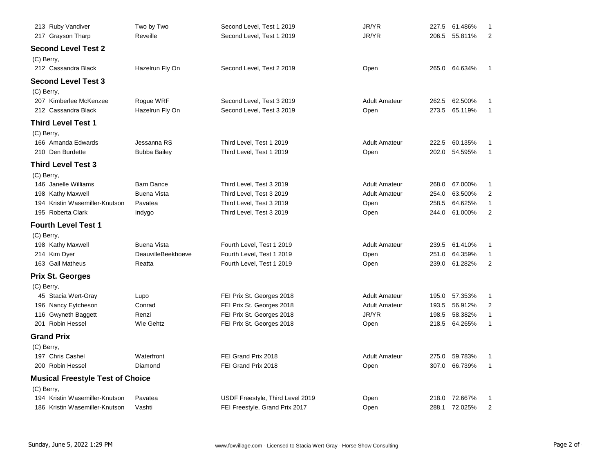| 213 Ruby Vandiver                       | Two by Two          | Second Level, Test 1 2019        | JR/YR                | 227.5 | 61.486%       | 1                       |
|-----------------------------------------|---------------------|----------------------------------|----------------------|-------|---------------|-------------------------|
| 217 Grayson Tharp                       | Reveille            | Second Level, Test 1 2019        | JR/YR                | 206.5 | 55.811%       | $\overline{2}$          |
| Second Level Test 2                     |                     |                                  |                      |       |               |                         |
| (C) Berry,                              |                     |                                  |                      |       |               |                         |
| 212 Cassandra Black                     | Hazelrun Fly On     | Second Level, Test 2 2019        | Open                 |       | 265.0 64.634% | 1                       |
| <b>Second Level Test 3</b>              |                     |                                  |                      |       |               |                         |
| (C) Berry,                              |                     |                                  |                      |       |               |                         |
| 207 Kimberlee McKenzee                  | Rogue WRF           | Second Level, Test 3 2019        | <b>Adult Amateur</b> | 262.5 | 62.500%       | 1                       |
| 212 Cassandra Black                     | Hazelrun Fly On     | Second Level, Test 3 2019        | Open                 | 273.5 | 65.119%       | $\mathbf{1}$            |
| <b>Third Level Test 1</b>               |                     |                                  |                      |       |               |                         |
| (C) Berry,                              |                     |                                  |                      |       |               |                         |
| 166 Amanda Edwards                      | Jessanna RS         | Third Level, Test 1 2019         | <b>Adult Amateur</b> | 222.5 | 60.135%       | 1                       |
| 210 Den Burdette                        | <b>Bubba Bailey</b> | Third Level, Test 1 2019         | Open                 | 202.0 | 54.595%       | $\mathbf{1}$            |
| <b>Third Level Test 3</b>               |                     |                                  |                      |       |               |                         |
| (C) Berry,                              |                     |                                  |                      |       |               |                         |
| 146 Janelle Williams                    | <b>Barn Dance</b>   | Third Level, Test 3 2019         | <b>Adult Amateur</b> | 268.0 | 67.000%       | 1                       |
| 198 Kathy Maxwell                       | <b>Buena Vista</b>  | Third Level, Test 3 2019         | <b>Adult Amateur</b> | 254.0 | 63.500%       | $\overline{2}$          |
| 194 Kristin Wasemiller-Knutson          | Pavatea             | Third Level, Test 3 2019         | Open                 | 258.5 | 64.625%       | $\mathbf{1}$            |
| 195 Roberta Clark                       | Indygo              | Third Level, Test 3 2019         | Open                 | 244.0 | 61.000%       | $\overline{2}$          |
| <b>Fourth Level Test 1</b>              |                     |                                  |                      |       |               |                         |
| (C) Berry,                              |                     |                                  |                      |       |               |                         |
| 198 Kathy Maxwell                       | <b>Buena Vista</b>  | Fourth Level, Test 1 2019        | <b>Adult Amateur</b> | 239.5 | 61.410%       | 1                       |
| 214 Kim Dyer                            | DeauvilleBeekhoeve  | Fourth Level, Test 1 2019        | Open                 | 251.0 | 64.359%       | 1                       |
| 163 Gail Matheus                        | Reatta              | Fourth Level, Test 1 2019        | Open                 | 239.0 | 61.282%       | $\overline{2}$          |
| <b>Prix St. Georges</b>                 |                     |                                  |                      |       |               |                         |
| (C) Berry,                              |                     |                                  |                      |       |               |                         |
| 45 Stacia Wert-Gray                     | Lupo                | FEI Prix St. Georges 2018        | <b>Adult Amateur</b> | 195.0 | 57.353%       | 1                       |
| 196 Nancy Eytcheson                     | Conrad              | FEI Prix St. Georges 2018        | <b>Adult Amateur</b> | 193.5 | 56.912%       | $\overline{\mathbf{c}}$ |
| 116 Gwyneth Baggett                     | Renzi               | FEI Prix St. Georges 2018        | JR/YR                | 198.5 | 58.382%       | $\mathbf{1}$            |
| 201 Robin Hessel                        | Wie Gehtz           | FEI Prix St. Georges 2018        | Open                 | 218.5 | 64.265%       | 1                       |
| <b>Grand Prix</b>                       |                     |                                  |                      |       |               |                         |
| (C) Berry,                              |                     |                                  |                      |       |               |                         |
| 197 Chris Cashel                        | Waterfront          | FEI Grand Prix 2018              | <b>Adult Amateur</b> | 275.0 | 59.783%       | 1                       |
| 200 Robin Hessel                        | Diamond             | FEI Grand Prix 2018              | Open                 | 307.0 | 66.739%       | $\mathbf{1}$            |
| <b>Musical Freestyle Test of Choice</b> |                     |                                  |                      |       |               |                         |
| (C) Berry,                              |                     |                                  |                      |       |               |                         |
| 194 Kristin Wasemiller-Knutson          | Pavatea             | USDF Freestyle, Third Level 2019 | Open                 | 218.0 | 72.667%       | 1                       |
| 186 Kristin Wasemiller-Knutson          | Vashti              | FEI Freestyle, Grand Prix 2017   | Open                 | 288.1 | 72.025%       | $\overline{\mathbf{c}}$ |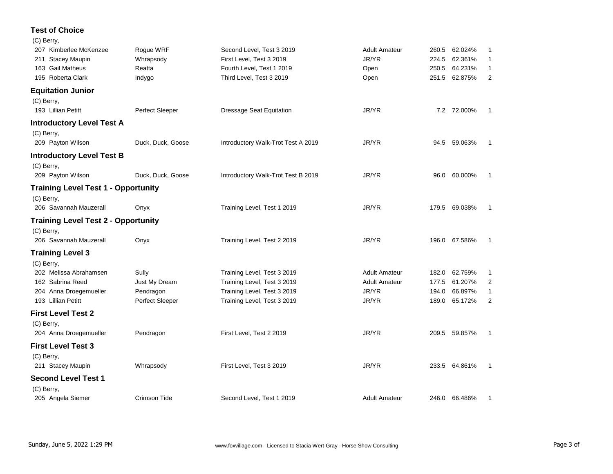## **Test of Choice**

| (C) Berry,                                 |                   |                                    |                      |       |               |                |
|--------------------------------------------|-------------------|------------------------------------|----------------------|-------|---------------|----------------|
| 207 Kimberlee McKenzee                     | Rogue WRF         | Second Level, Test 3 2019          | <b>Adult Amateur</b> | 260.5 | 62.024%       | -1             |
| 211 Stacey Maupin                          | Whrapsody         | First Level, Test 3 2019           | JR/YR                | 224.5 | 62.361%       | 1              |
| 163 Gail Matheus                           | Reatta            | Fourth Level, Test 1 2019          | Open                 |       | 250.5 64.231% | $\overline{1}$ |
| 195 Roberta Clark                          | Indygo            | Third Level, Test 3 2019           | Open                 |       | 251.5 62.875% | 2              |
| <b>Equitation Junior</b>                   |                   |                                    |                      |       |               |                |
| (C) Berry,                                 |                   |                                    |                      |       |               |                |
| 193 Lillian Petitt                         | Perfect Sleeper   | <b>Dressage Seat Equitation</b>    | JR/YR                |       | 7.2 72.000%   | $\mathbf{1}$   |
| <b>Introductory Level Test A</b>           |                   |                                    |                      |       |               |                |
| (C) Berry,                                 |                   |                                    |                      |       |               |                |
| 209 Payton Wilson                          | Duck, Duck, Goose | Introductory Walk-Trot Test A 2019 | JR/YR                |       | 94.5 59.063%  | $\mathbf{1}$   |
| <b>Introductory Level Test B</b>           |                   |                                    |                      |       |               |                |
| (C) Berry,                                 |                   |                                    |                      |       |               |                |
| 209 Payton Wilson                          | Duck, Duck, Goose | Introductory Walk-Trot Test B 2019 | JR/YR                |       | 96.0 60.000%  | -1             |
| <b>Training Level Test 1 - Opportunity</b> |                   |                                    |                      |       |               |                |
| (C) Berry,                                 |                   |                                    |                      |       |               |                |
| 206 Savannah Mauzerall                     | Onyx              | Training Level, Test 1 2019        | JR/YR                |       | 179.5 69.038% | $\overline{1}$ |
| <b>Training Level Test 2 - Opportunity</b> |                   |                                    |                      |       |               |                |
| (C) Berry,                                 |                   |                                    |                      |       |               |                |
| 206 Savannah Mauzerall                     | Onyx              | Training Level, Test 2 2019        | JR/YR                |       | 196.0 67.586% | $\mathbf{1}$   |
| <b>Training Level 3</b>                    |                   |                                    |                      |       |               |                |
| (C) Berry,                                 |                   |                                    |                      |       |               |                |
| 202 Melissa Abrahamsen                     | Sully             | Training Level, Test 3 2019        | <b>Adult Amateur</b> | 182.0 | 62.759%       | 1              |
| 162 Sabrina Reed                           | Just My Dream     | Training Level, Test 3 2019        | <b>Adult Amateur</b> | 177.5 | 61.207%       | $\overline{2}$ |
| 204 Anna Droegemueller                     | Pendragon         | Training Level, Test 3 2019        | JR/YR                | 194.0 | 66.897%       | $\mathbf{1}$   |
| 193 Lillian Petitt                         | Perfect Sleeper   | Training Level, Test 3 2019        | JR/YR                | 189.0 | 65.172%       | 2              |
| <b>First Level Test 2</b>                  |                   |                                    |                      |       |               |                |
| (C) Berry,                                 |                   |                                    |                      |       |               |                |
| 204 Anna Droegemueller                     | Pendragon         | First Level, Test 2 2019           | JR/YR                |       | 209.5 59.857% | $\overline{1}$ |
| <b>First Level Test 3</b>                  |                   |                                    |                      |       |               |                |
| (C) Berry,                                 |                   |                                    |                      |       |               |                |
| 211 Stacey Maupin                          | Whrapsody         | First Level, Test 3 2019           | JR/YR                |       | 233.5 64.861% | $\mathbf{1}$   |
| <b>Second Level Test 1</b>                 |                   |                                    |                      |       |               |                |
| (C) Berry,                                 |                   |                                    |                      |       |               |                |
| 205 Angela Siemer                          | Crimson Tide      | Second Level, Test 1 2019          | <b>Adult Amateur</b> |       | 246.0 66.486% | 1              |